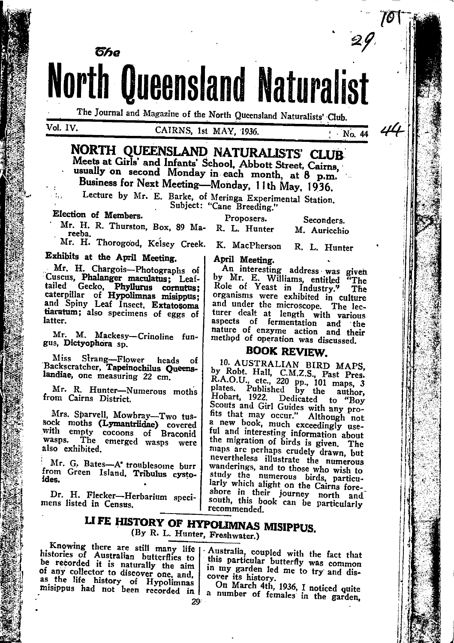**North Queensland Naturalist** 

The Journal and Magazine of the North Queensland Naturalists' Club.

### CAIRNS. 1st MAY, 1936.

NORTH QUEENSLAND NATURALISTS' CLUB Meets at Girls' and Infants' School. Abbott Street. Cairns. usually on second Monday in each month, at 8 p.m. Business for Next Meeting-Monday, 11th May. 1936.

Lecture by Mr. E. Barke, of Meringa Experimental Station.

Subject: "Cane Breeding."

Election of Members.

ติหล

Proposers. Seconders.

Mr. H. R. Thurston, Box, 89 Ma-R. L. Hunter reeba.

M. Auricchio

 $N<sub>0</sub>$ . 44

Mr. H. Thorogood, Kelsey Creek. K. MacPherson R. L. Hunter

## Exhibits at the April Meeting.

Mr. H. Chargois-Photographs of Cuscus, Phalanger maculatus; Leaftailed Gecko, Phyllurus cornutus;<br>tailed Gecko, Phyllurus cornutus;<br>caterpillar of Hypolimnas misippus;<br>and Spiny Leaf Insect, Extatosoma tiaratum; also specimens of eggs of latter.

Mr. M. Mackesy-Crinoline fungus, Dictyophora sp.

Miss Strang-Flower heads of<br>Backscratcher, Tapeinochilus Queenslandiae, one measuring 22 cm.

Mr. R. Hunter-Numerous moths from Cairns District.

Mrs. Sparvell, Mowbray-Two tussock moths (Lymantriidae) covered<br>with empty cocoons of Braconid<br>wasps. The emerged wasps were also exhibited.

Mr. G. Bates-A' troublesome burr from Green Island, Tribulus cystoides.

Dr. H. Flecker-Herbarium specimens listed in Census.

April Meeting.

An interesting address was given<br>by Mr. E. Williams, entitled "The Role of Yeast in Industry." The organisms were exhibited in culture and under the microscope. The lecturer dealt at length with various nature of enzyme action and their

## **BOOK REVIEW.**

10. AUSTRALIAN BIRD MAPS,<br>by Robt. Hall, C.M.Z.S., Past Pres.<br>R.A.O.U., etc., 220 pp., 101 maps, 3<br>plates. Published to "Boy<br>Hobart, 1922. Dedicated to "Boy Scouts and Girl Guides with any pro-<br>Scouts and Girl Guides with any pro-<br>fits that may occur." Although not<br>a new book, much exceedingly useful and interesting information about the migration of birds is given. The maps are perhaps crudely drawn, but nevertheless illustrate the numerous wanderings, and to those who wish to study the numerous birds, particularly which alight on the Cairns foreshore in their journey north and<br>south, this book can be particularly recommended.

# LIFE HISTORY OF HYPOLIMNAS MISIPPUS. (By R. L. Hunter, Freshwater.)

Knowing there are still many life histories of Australian butterflies to be recorded it is naturally the aim of any collector to discover one, and, as the life history of Hypolimnas misippus had not been recorded in

Australia, coupled with the fact that this particular butterfly was common in my garden led me to try and discover its history.

On March 4th, 1936, I noticed quite a number of females in the garden, 29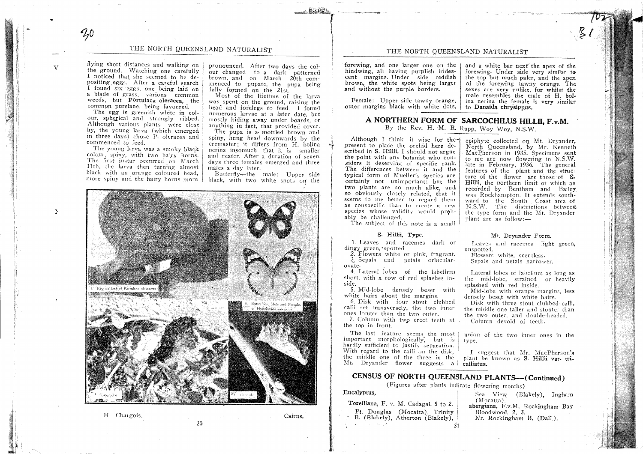## THE NORTH QUEENSLAND NATURALIST

flying short distances and walking on the ground. Watching one carefully I noticed that she seemed to be depositing eggs. After a careful search I found six eggs, one being laid on a blade of grass, various common weeds. but Portulaca oleracea, the common purslane, being favoured.

 $70$ 

 $\mathbf{V}$ 

The egg is greenish white in colour, spherical and strongly ribbed. Although various plants were close by, the young larva (which emerged in three days) chose P. oleracea and commenced to feed.

The young larva was a smoky black colour, spiny, with two hairy horns. The first instar occurred on March 11th, the larva then turning almost black with an orange coloured head,

pronounced. After two days the colour changed to a dark patterned brown, and on March 20th commenced to pupate, the pupa being fully formed on the 21st.

Most of the lifetime of the larva was spent on the ground, raising the head and forelegs to feed. I found numerous larvae at a later date, but mostly hiding away under boards, or anything in fact, that provided cover.

The pupa is a mottled brown and spiny, hung head downwards by the cremaster; it differs from H. bolina nerina insomuch that it is smaller and neater. After a duration of seven days three females emerged and three males a day later.

Butterfly--the male: Upper side more spiny and the hairy horns more | black, with two white spots on the



30

H. Chargois.

Cairns.

#### THE NORTH OUEENSLAND NATURALIST

forewing, and one larger one on the hindwing, all having purplish iridescent margins. Under side reddish brown, the white spots being larger and without the purple borders.

Female: Upper side tawny orange, outer margins black with white dots,

and a white bar next the apex of the forewing. Under side very similar to the top but much paler, and the apex of the forewing tawny orange. The sexes are very unlike, for whilst the male resembles the male of H. bolina nerina the female is very similar to Danaida chrysippus.

# A NORTHERN FORM OF SARCOCHILUS HILLII, F.v.M.

By the Rev. H. M. R. Rupp, Woy Woy, N.S.W.

Although I think it wise for thepresent to place the orchid here described in S. Hillii, I should not argue the point with any botanist who considers it deserving of specific rank. The differences between it and the typical form of Mueller's species are certainly not unimportant; but the two plants are so much alike, and so obviously closely related, that it seems to me better to regard them as conspecific than to create a new species whose validity would probably be challenged.

epiphyte collected on Mt. Dryander. North Oueensland, by Mr. Kenneth MacPherson in 1935. Specimens sent to me are now flowering in N.S.W. late in February, 1936. The general features of the plant and the structure of the flower are those of S. Hillii, the northern limit of which as recorded by Bentham and Bailey was Rockhampton. It extends southward to the South Coast area of N.S.W. The distinctions between the type form and the Mt. Drvander  $plant$  are as  $follow:$ 

The subject of this note is a small

#### S. Hillii. Type.

1. Leaves and racemes dark or dingy green, spotted.

2. Flowers white or pink, fragrant. 3. Sepals and petals orbicularovate.

4. Lateral lobes of the labellum short, with a row of red splashes inside.

5. Mid-lobe densely beset with white hairs about the margins.

6. Disk with four stout clubbed calli set transversely, the two inner ones longer than the two outer.

7. Column with two erect teeth at the top in front.

The last feature seems the most important morphologically, but is hardly sufficient to justify separation. With regard to the calli on the disk. the middle one of the three in the Mt. Dryander flower suggests a

#### Mt. Dryander Form. Leaves and racemes light green.

unspotted. Flowers white, scentless.

Sepals and petals narrower.

Lateral lobes of labellum as long as the mid-lobe, strained or heavily splashed with red inside.

Mid-lobe with orange margins, less densely beset with white hairs.

Disk with three stout clubbed calli, the middle one taller and stouter than the two outer, and double-headed. Column devoid of teeth.

union of the two inner ones in the type.

I suggest that Mr. MacPherson's plant be known as S. Hillii var. tricalliatus.

# CENSUS OF NORTH QUEENSLAND PLANTS-(Continued)

(Figures after plants indicate flowering months)

Eucalyptus,

Torelliana, F. v. M. Cadagai. 5 to 2. Pt. Douglas (Mocatta), Trinity B. (Blakely), Atherton (Blakely), **Research**  $31$ 

Sea View (Blakely), Ingham  $(Mocatta)$ . abergiana, F.v.M. Rockingham Bay Bloodwood. 2. 3. Nr. Rockingham B. (Dall.).